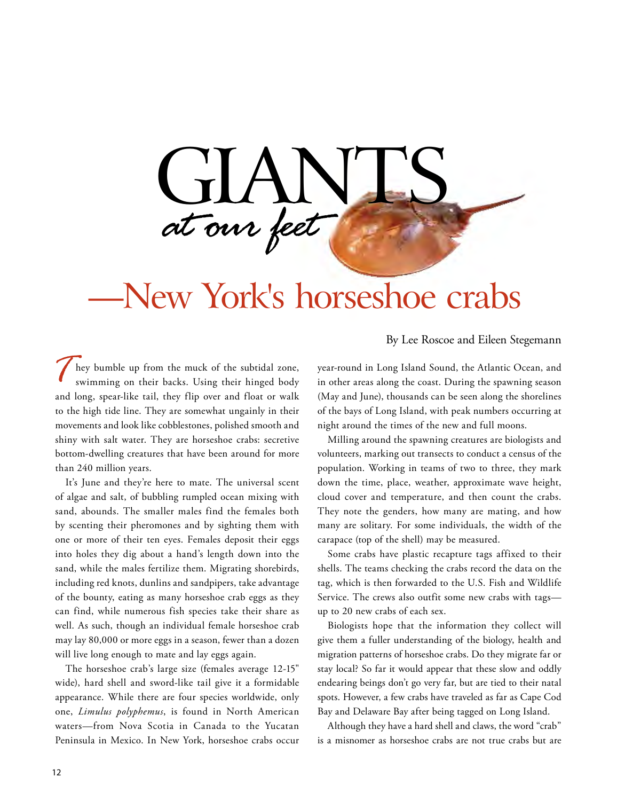

## —New York's horseshoe crabs

By Lee Roscoe and Eileen Stegemann

hey bumble up from the muck of the subtidal zone, swimming on their backs. Using their hinged body and long, spear-like tail, they flip over and float or walk to the high tide line. They are somewhat ungainly in their movements and look like cobblestones, polished smooth and shiny with salt water. They are horseshoe crabs: secretive bottom-dwelling creatures that have been around for more than 240 million years.

 sand, abounds. The smaller males find the females both It's June and they're here to mate. The universal scent of algae and salt, of bubbling rumpled ocean mixing with by scenting their pheromones and by sighting them with one or more of their ten eyes. Females deposit their eggs into holes they dig about a hand's length down into the sand, while the males fertilize them. Migrating shorebirds, including red knots, dunlins and sandpipers, take advantage of the bounty, eating as many horseshoe crab eggs as they can find, while numerous fish species take their share as well. As such, though an individual female horseshoe crab may lay 80,000 or more eggs in a season, fewer than a dozen will live long enough to mate and lay eggs again.

 wide), hard shell and sword-like tail give it a formidable The horseshoe crab's large size (females average 12-15" appearance. While there are four species worldwide, only one, *Limulus polyphemus*, is found in North American waters—from Nova Scotia in Canada to the Yucatan Peninsula in Mexico. In New York, horseshoe crabs occur

year-round in Long Island Sound, the Atlantic Ocean, and in other areas along the coast. During the spawning season (May and June), thousands can be seen along the shorelines of the bays of Long Island, with peak numbers occurring at night around the times of the new and full moons.

Milling around the spawning creatures are biologists and volunteers, marking out transects to conduct a census of the population. Working in teams of two to three, they mark down the time, place, weather, approximate wave height, cloud cover and temperature, and then count the crabs. They note the genders, how many are mating, and how many are solitary. For some individuals, the width of the carapace (top of the shell) may be measured.

Some crabs have plastic recapture tags affixed to their shells. The teams checking the crabs record the data on the tag, which is then forwarded to the U.S. Fish and Wildlife Service. The crews also outfit some new crabs with tags up to 20 new crabs of each sex.

Biologists hope that the information they collect will give them a fuller understanding of the biology, health and migration patterns of horseshoe crabs. Do they migrate far or stay local? So far it would appear that these slow and oddly endearing beings don't go very far, but are tied to their natal spots. However, a few crabs have traveled as far as Cape Cod Bay and Delaware Bay after being tagged on Long Island.

Although they have a hard shell and claws, the word "crab" is a misnomer as horseshoe crabs are not true crabs but are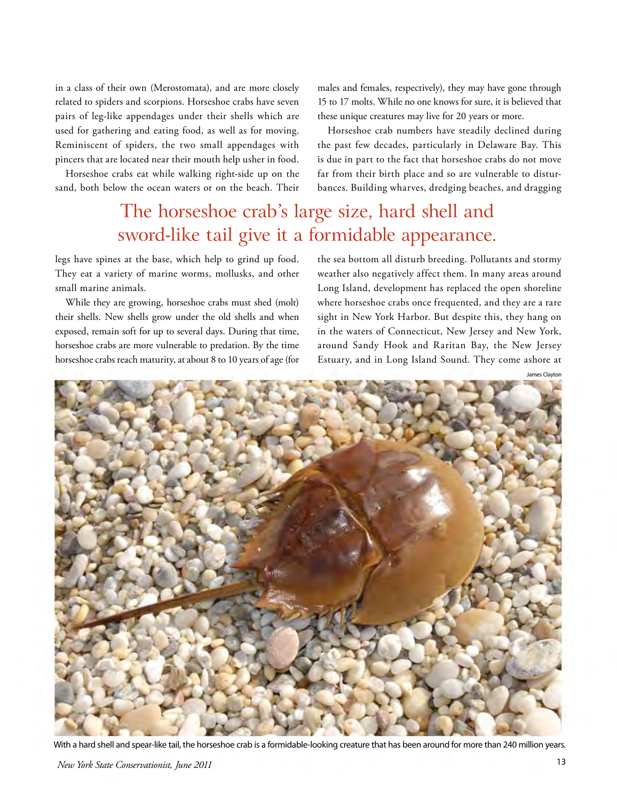in a class of their own (Merostomata), and are more closely related to spiders and scorpions. Horseshoe crabs have seven pairs of leg-like appendages under their shells which are used for gathering and eating food, as well as for moving. Reminiscent of spiders, the two small appendages with pincers that are located near their mouth help usher in food.

Horseshoe crabs eat while walking right-side up on the sand, both below the ocean waters or on the beach. Their

### The horseshoe crab's large size, hard shell and sword-like tail give it a formidable appearance.

legs have spines at the base, which help to grind up food. They eat a variety of marine worms, mollusks, and other small marine animals.

While they are growing, horseshoe crabs must shed (molt) their shells. New shells grow under the old shells and when exposed, remain soft for up to several days. During that time, horseshoe crabs are more vulnerable to predation. By the time horseshoe crabs reach maturity, at about 8 to 10 years of age (for

males and females, respectively), they may have gone through 15 to 17 molts. While no one knows for sure, it is believed that these unique creatures may live for 20 years or more.

Horseshoe crab numbers have steadily declined during the past few decades, particularly in Delaware Bay. This is due in part to the fact that horseshoe crabs do not move far from their birth place and so are vulnerable to disturbances. Building wharves, dredging beaches, and dragging

the sea bottom all disturb breeding. Pollutants and stormy weather also negatively affect them. In many areas around Long Island, development has replaced the open shoreline where horseshoe crabs once frequented, and they are a rare sight in New York Harbor. But despite this, they hang on in the waters of Connecticut, New Jersey and New York, around Sandy Hook and Raritan Bay, the New Jersey Estuary, and in Long Island Sound. They come ashore at

With a hard shell and spear-like tail, the horseshoe crab is a formidable-looking creature that has been around for more than 240 million years.

James Clayton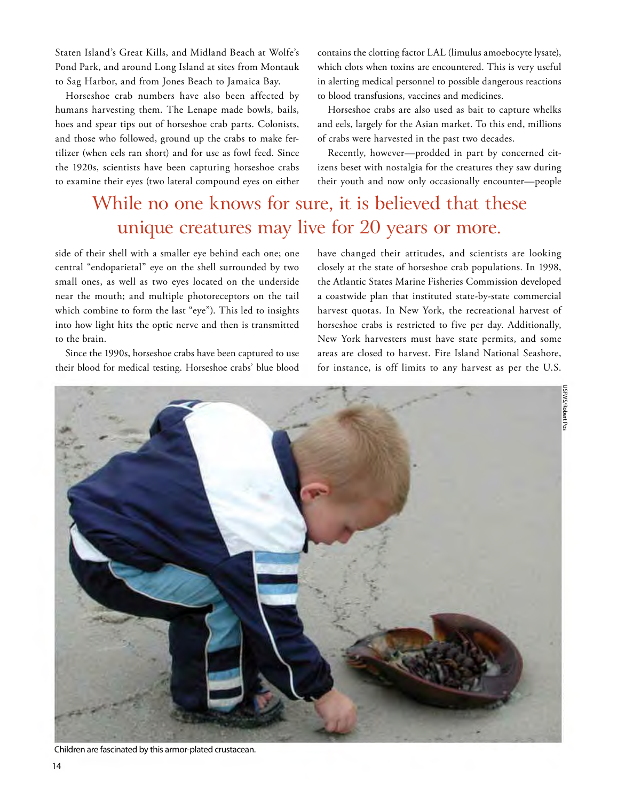Staten Island's Great Kills, and Midland Beach at Wolfe's Pond Park, and around Long Island at sites from Montauk to Sag Harbor, and from Jones Beach to Jamaica Bay.

 humans harvesting them. The Lenape made bowls, bails, Horseshoe crab numbers have also been affected by hoes and spear tips out of horseshoe crab parts. Colonists, and those who followed, ground up the crabs to make fertilizer (when eels ran short) and for use as fowl feed. Since the 1920s, scientists have been capturing horseshoe crabs to examine their eyes (two lateral compound eyes on either

contains the clotting factor LAL (limulus amoebocyte lysate), which clots when toxins are encountered. This is very useful in alerting medical personnel to possible dangerous reactions to blood transfusions, vaccines and medicines.

Horseshoe crabs are also used as bait to capture whelks and eels, largely for the Asian market. To this end, millions of crabs were harvested in the past two decades.

Recently, however—prodded in part by concerned citizens beset with nostalgia for the creatures they saw during their youth and now only occasionally encounter—people

### While no one knows for sure, it is believed that these unique creatures may live for 20 years or more.

side of their shell with a smaller eye behind each one; one central "endoparietal" eye on the shell surrounded by two small ones, as well as two eyes located on the underside near the mouth; and multiple photoreceptors on the tail which combine to form the last "eye"). This led to insights into how light hits the optic nerve and then is transmitted to the brain.

Since the 1990s, horseshoe crabs have been captured to use their blood for medical testing. Horseshoe crabs' blue blood have changed their attitudes, and scientists are looking closely at the state of horseshoe crab populations. In 1998, the Atlantic States Marine Fisheries Commission developed a coastwide plan that instituted state-by-state commercial harvest quotas. In New York, the recreational harvest of horseshoe crabs is restricted to five per day. Additionally, New York harvesters must have state permits, and some areas are closed to harvest. Fire Island National Seashore, for instance, is off limits to any harvest as per the U.S.



Children are fascinated by this armor-plated crustacean.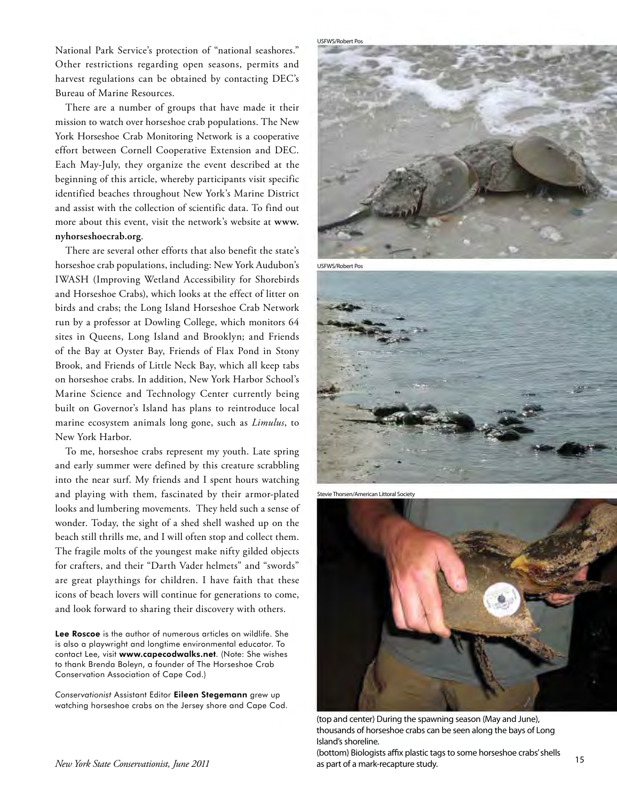harvest regulations can be obtained by contacting DEC's National Park Service's protection of "national seashores." Other restrictions regarding open seasons, permits and Bureau of Marine Resources.

There are a number of groups that have made it their mission to watch over horseshoe crab populations. The New York Horseshoe Crab Monitoring Network is a cooperative effort between Cornell Cooperative Extension and DEC. Each May-July, they organize the event described at the beginning of this article, whereby participants visit specific identified beaches throughout New York's Marine District and assist with the collection of scientific data. To find out more about this event, visit the network's website at **www. [nyhorseshoecrab.org](https://nyhorseshoecrab.org)**.

There are several other efforts that also benefit the state's horseshoe crab populations, including: New York Audubon's IWASH (Improving Wetland Accessibility for Shorebirds and Horseshoe Crabs), which looks at the effect of litter on birds and crabs; the Long Island Horseshoe Crab Network run by a professor at Dowling College, which monitors 64 sites in Queens, Long Island and Brooklyn; and Friends of the Bay at Oyster Bay, Friends of Flax Pond in Stony Brook, and Friends of Little Neck Bay, which all keep tabs on horseshoe crabs. In addition, New York Harbor School's Marine Science and Technology Center currently being built on Governor's Island has plans to reintroduce local marine ecosystem animals long gone, such as *Limulus*, to New York Harbor.

To me, horseshoe crabs represent my youth. Late spring and early summer were defined by this creature scrabbling into the near surf. My friends and I spent hours watching and playing with them, fascinated by their armor-plated looks and lumbering movements. They held such a sense of wonder. Today, the sight of a shed shell washed up on the beach still thrills me, and I will often stop and collect them. The fragile molts of the youngest make nifty gilded objects for crafters, and their "Darth Vader helmets" and "swords" are great playthings for children. I have faith that these icons of beach lovers will continue for generations to come, and look forward to sharing their discovery with others.

 Conservation Association of Cape Cod.) Lee Roscoe is the author of numerous articles on wildlife. She is also a playwright and longtime environmental educator. To contact Lee, visit <www.capecodwalks.net>. (Note: She wishes to thank Brenda Boleyn, a founder of The Horseshoe Crab

 *Conservationist* Assistant Editor Eileen Stegemann grew up watching horseshoe crabs on the Jersey shore and Cape Cod.



USFWS/Robert Pos







(top and center) During the spawning season (May and June), thousands of horseshoe crabs can be seen along the bays of Long Island's shoreline.

(bottom) Biologists affix plastic tags to some horseshoe crabs' shells <sup>15</sup> (bottom) biologists and plastic tags to some noisesnice clabs shells and plastic tags to some noisesnice clabs shells as part of a mark-recapture study.